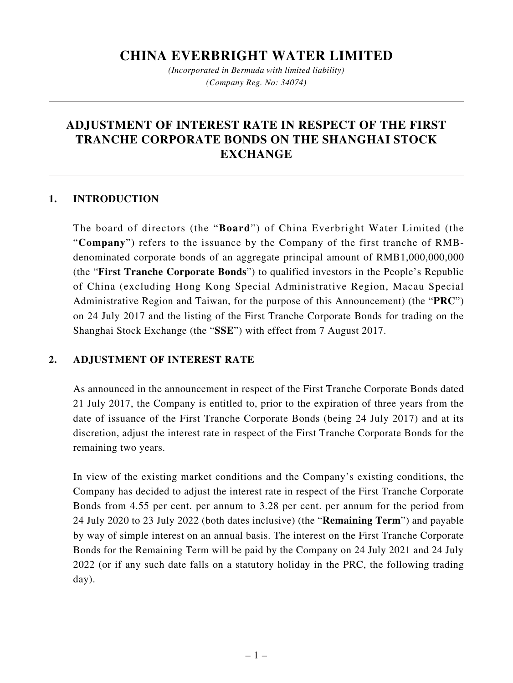## **CHINA EVERBRIGHT WATER LIMITED**

*(Incorporated in Bermuda with limited liability) (Company Reg. No: 34074)*

# **ADJUSTMENT OF INTEREST RATE IN RESPECT OF THE FIRST TRANCHE CORPORATE BONDS ON THE SHANGHAI STOCK EXCHANGE**

#### **1. INTRODUCTION**

The board of directors (the "**Board**") of China Everbright Water Limited (the "**Company**") refers to the issuance by the Company of the first tranche of RMBdenominated corporate bonds of an aggregate principal amount of RMB1,000,000,000 (the "**First Tranche Corporate Bonds**") to qualified investors in the People's Republic of China (excluding Hong Kong Special Administrative Region, Macau Special Administrative Region and Taiwan, for the purpose of this Announcement) (the "**PRC**") on 24 July 2017 and the listing of the First Tranche Corporate Bonds for trading on the Shanghai Stock Exchange (the "**SSE**") with effect from 7 August 2017.

### **2. ADJUSTMENT OF INTEREST RATE**

As announced in the announcement in respect of the First Tranche Corporate Bonds dated 21 July 2017, the Company is entitled to, prior to the expiration of three years from the date of issuance of the First Tranche Corporate Bonds (being 24 July 2017) and at its discretion, adjust the interest rate in respect of the First Tranche Corporate Bonds for the remaining two years.

In view of the existing market conditions and the Company's existing conditions, the Company has decided to adjust the interest rate in respect of the First Tranche Corporate Bonds from 4.55 per cent. per annum to 3.28 per cent. per annum for the period from 24 July 2020 to 23 July 2022 (both dates inclusive) (the "**Remaining Term**") and payable by way of simple interest on an annual basis. The interest on the First Tranche Corporate Bonds for the Remaining Term will be paid by the Company on 24 July 2021 and 24 July 2022 (or if any such date falls on a statutory holiday in the PRC, the following trading day).